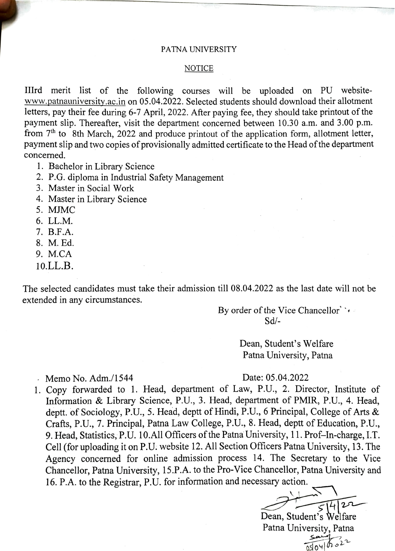#### PATNA UNIVERSITY

### **NOTICE**

IIIrd merit list of the following courses will be uploaded on PU websitewww.patnauniversity.ac.in on 05.04.2022. Selected students should download their allotment letters, pay their fee during 6-7 April, 2022. After paying fee, they should take printout of the payment slip. Thereafter, visit the department concerned between 10.30 a.m. and 3.00 p.m. from 7<sup>th</sup> to 8th March, 2022 and produce printout of the application form, allotment letter, payment slip and two copies of provisionally admitted certificate to the Head of the department concerned.

- 1. Bachelor in Library Science
- 2. P.G. diploma in Industrial Safety Management
- 3. Master in Social Work
- 4. Master in Library Science
- 5. MJMC
- 6. LL.M.
- 7. B.F.A.
- 8. M. Ed.
- 9. M.CA
- 10.LL.B.

The selected candidates must take their admission till 08.04.2022 as the last date will not be extended in any circumstances.

> By order of the Vice Chancellor'  $\cdot$ Sd/-

> > Dean, Student's Welfare Patna University, Patna

Memo No. Adm./1544 Date: 05.04.2022

1. Copy forwarded to 1. Head, department of Law, P.U., 2. Director, Institute of Information & Library Science, P.U., 3. Head, department of PMIR, P.U., 4. Head, deptt. of Sociology, P.U., 5. Head, deptt of Hindi, P.U., 6 Principal, College of Arts & Crafts, P.U., 7. Principal, Patna Law College, P.U., 8. Head, deptt of Education, P.U., 9. Head, Statistics, P.U. 10.All Officers of the Patna University, 11. Prof-In-charge, I.T. Cell (for uploading it on P.U. website 12. All Section Officers Patna University, 13. The Agency concerned for online admission process 14. The Secretary to the Vice Chancellor, Patna University, 15.P.A. to the Pro-Vice Chancellor, Patna University and 16. P.A. to the Registrar, P.U. for information and necessary action.

Dean, Student's Welfare Patna University, Patna  $\frac{\mathsf{Say}}{\mathsf{Say}}$